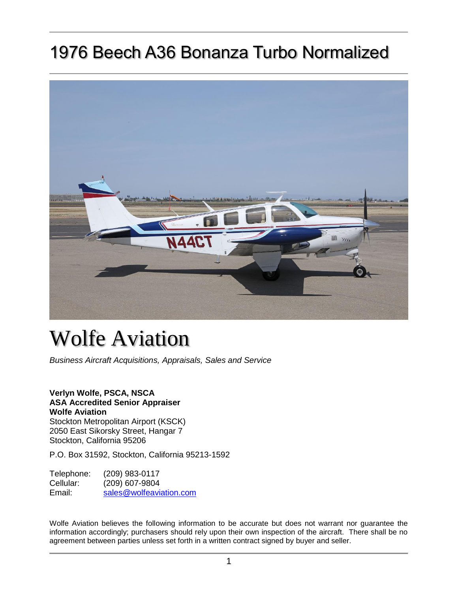## 1976 Beech A36 Bonanza Turbo Normalized



# Wolfe Aviation

*Business Aircraft Acquisitions, Appraisals, Sales and Service*

#### **Verlyn Wolfe, PSCA, NSCA ASA Accredited Senior Appraiser**

**Wolfe Aviation** Stockton Metropolitan Airport (KSCK) 2050 East Sikorsky Street, Hangar 7 Stockton, California 95206

P.O. Box 31592, Stockton, California 95213-1592

Telephone: (209) 983-0117 Cellular: (209) 607-9804 Email: [sales@wolfeaviation.com](mailto:sales@wolfeaviation.com?subject=Wolfe%20Aviation%20-%20N44CT%20-%201976%20Beech%20A36%20Bonanza%20Turbo%20Normalized%20sn:%20E-875)

Wolfe Aviation believes the following information to be accurate but does not warrant nor guarantee the information accordingly; purchasers should rely upon their own inspection of the aircraft. There shall be no agreement between parties unless set forth in a written contract signed by buyer and seller.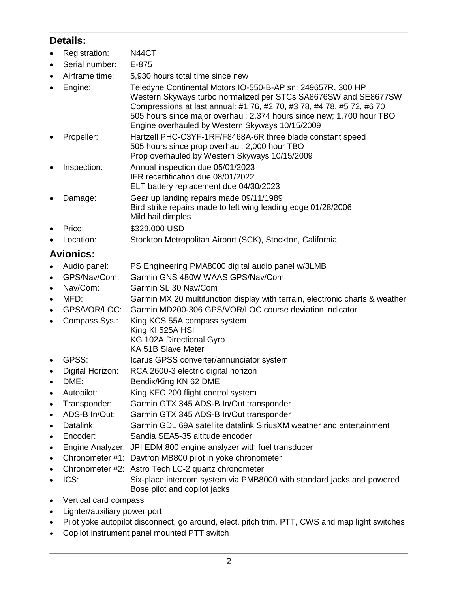## **Details:**

- Registration: N44CT
- Serial number: E-875
- Airframe time: 5,930 hours total time since new
- Engine: Teledyne Continental Motors IO-550-B-AP sn: 249657R, 300 HP Western Skyways turbo normalized per STCs SA8676SW and SE8677SW Compressions at last annual: #1 76, #2 70, #3 78, #4 78, #5 72, #6 70 505 hours since major overhaul; 2,374 hours since new; 1,700 hour TBO Engine overhauled by Western Skyways 10/15/2009
- Propeller: Hartzell PHC-C3YF-1RF/F8468A-6R three blade constant speed 505 hours since prop overhaul; 2,000 hour TBO Prop overhauled by Western Skyways 10/15/2009
- Inspection: Annual inspection due 05/01/2023 IFR recertification due 08/01/2022 ELT battery replacement due 04/30/2023
- Damage: Gear up landing repairs made 09/11/1989 Bird strike repairs made to left wing leading edge 01/28/2006 Mild hail dimples
- Price: \$329,000 USD
- Location: Stockton Metropolitan Airport (SCK), Stockton, California

## **Avionics:**

- Audio panel: PS Engineering PMA8000 digital audio panel w/3LMB
- GPS/Nav/Com: Garmin GNS 480W WAAS GPS/Nav/Com
- Nav/Com: Garmin SL 30 Nav/Com
- MFD: Garmin MX 20 multifunction display with terrain, electronic charts & weather
- GPS/VOR/LOC: Garmin MD200-306 GPS/VOR/LOC course deviation indicator
- Compass Sys.: King KCS 55A compass system
	- King KI 525A HSI KG 102A Directional Gyro
		- KA 51B Slave Meter
- GPSS: Icarus GPSS converter/annunciator system
- Digital Horizon: RCA 2600-3 electric digital horizon
- DME: Bendix/King KN 62 DME
- Autopilot: King KFC 200 flight control system
- Transponder: Garmin GTX 345 ADS-B In/Out transponder
- ADS-B In/Out: Garmin GTX 345 ADS-B In/Out transponder
- Datalink: Garmin GDL 69A satellite datalink SiriusXM weather and entertainment
- Encoder: Sandia SEA5-35 altitude encoder
- Engine Analyzer: JPI EDM 800 engine analyzer with fuel transducer
- Chronometer #1: Davtron MB800 pilot in yoke chronometer
- Chronometer #2: Astro Tech LC-2 quartz chronometer
- ICS: Six-place intercom system via PMB8000 with standard jacks and powered Bose pilot and copilot jacks
- Vertical card compass
- Lighter/auxiliary power port
- Pilot yoke autopilot disconnect, go around, elect. pitch trim, PTT, CWS and map light switches
- Copilot instrument panel mounted PTT switch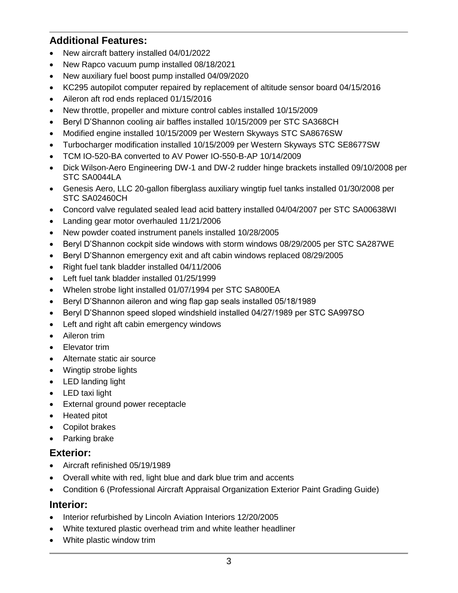## **Additional Features:**

- New aircraft battery installed 04/01/2022
- New Rapco vacuum pump installed 08/18/2021
- New auxiliary fuel boost pump installed 04/09/2020
- KC295 autopilot computer repaired by replacement of altitude sensor board 04/15/2016
- Aileron aft rod ends replaced 01/15/2016
- New throttle, propeller and mixture control cables installed 10/15/2009
- Beryl D'Shannon cooling air baffles installed 10/15/2009 per STC SA368CH
- Modified engine installed 10/15/2009 per Western Skyways STC SA8676SW
- Turbocharger modification installed 10/15/2009 per Western Skyways STC SE8677SW
- TCM IO-520-BA converted to AV Power IO-550-B-AP 10/14/2009
- Dick Wilson-Aero Engineering DW-1 and DW-2 rudder hinge brackets installed 09/10/2008 per STC SA0044LA
- Genesis Aero, LLC 20-gallon fiberglass auxiliary wingtip fuel tanks installed 01/30/2008 per STC SA02460CH
- Concord valve regulated sealed lead acid battery installed 04/04/2007 per STC SA00638WI
- Landing gear motor overhauled 11/21/2006
- New powder coated instrument panels installed 10/28/2005
- Beryl D'Shannon cockpit side windows with storm windows 08/29/2005 per STC SA287WE
- Beryl D'Shannon emergency exit and aft cabin windows replaced 08/29/2005
- Right fuel tank bladder installed 04/11/2006
- Left fuel tank bladder installed 01/25/1999
- Whelen strobe light installed 01/07/1994 per STC SA800EA
- Beryl D'Shannon aileron and wing flap gap seals installed 05/18/1989
- Beryl D'Shannon speed sloped windshield installed 04/27/1989 per STC SA997SO
- Left and right aft cabin emergency windows
- Aileron trim
- Elevator trim
- Alternate static air source
- Wingtip strobe lights
- LED landing light
- LED taxi light
- External ground power receptacle
- Heated pitot
- Copilot brakes
- Parking brake

### **Exterior:**

- Aircraft refinished 05/19/1989
- Overall white with red, light blue and dark blue trim and accents
- Condition 6 (Professional Aircraft Appraisal Organization Exterior Paint Grading Guide)

#### **Interior:**

- Interior refurbished by Lincoln Aviation Interiors 12/20/2005
- White textured plastic overhead trim and white leather headliner
- White plastic window trim